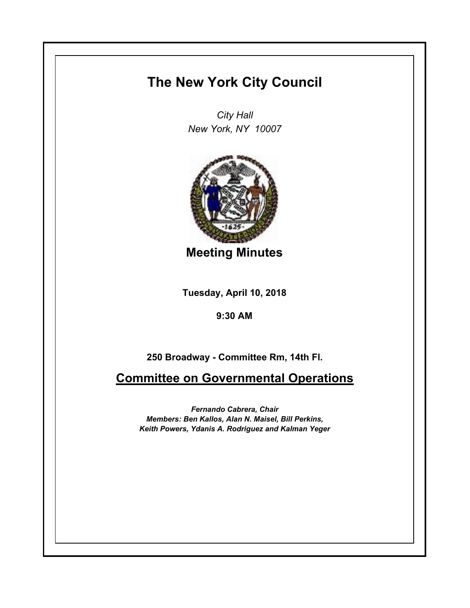## **The New York City Council**

*City Hall New York, NY 10007*



**Meeting Minutes**

**Tuesday, April 10, 2018**

**9:30 AM**

**250 Broadway - Committee Rm, 14th Fl.**

**Committee on Governmental Operations**

*Fernando Cabrera, Chair Members: Ben Kallos, Alan N. Maisel, Bill Perkins, Keith Powers, Ydanis A. Rodriguez and Kalman Yeger*